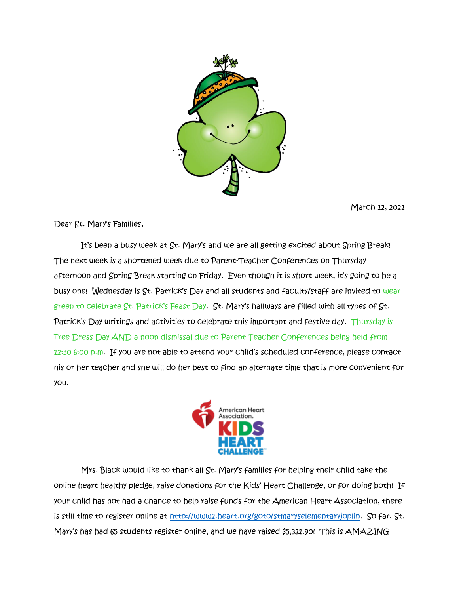

March 12, 2021

Dear St. Mary's Families,

It's been a busy week at St. Mary's and we are all getting excited about Spring Break! The next week is a shortened week due to Parent-Teacher Conferences on Thursday afternoon and Spring Break starting on Friday. Even though it is short week, it's going to be a busy one! Wednesday is St. Patrick's Day and all students and faculty/staff are invited to wear green to celebrate  $\overline{S}$ t. Patrick's Feast Day.  $\overline{S}$ t. Mary's hallways are filled with all types of  $\overline{S}$ t. Patrick's Day writings and activities to celebrate this important and festive day. Thursday is Free Dress Day AND a noon dismissal due to Parent-Teacher Conferences being held from 12:30-6:00 p.m. If you are not able to attend your child's scheduled conference, please contact his or her teacher and she will do her best to find an alternate time that is more convenient for you.



Mrs. Black would like to thank all St. Mary's families for helping their child take the online heart healthy pledge, raise donations for the Kids' Heart Challenge, or for doing both! If your child has not had a chance to help raise funds for the American Heart Association, there is still time to register online at [http://www2.heart.org/goto/stmaryselementaryjoplin.](http://www2.heart.org/goto/stmaryselementaryjoplin) So far, St. Mary's has had 65 students register online, and we have raised \$5,321.90! This is AMAZING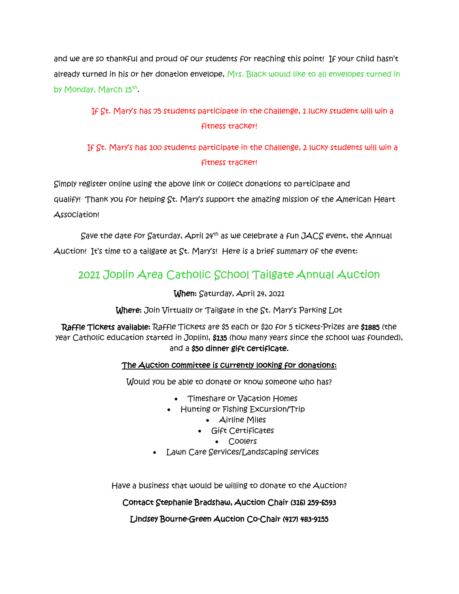and we are so thankful and proud of our students for reaching this point! If your child hasn't already turned in his or her donation envelope, Mrs. Black would like to all envelopes turned in by Monday, March 15<sup>th</sup>.

# If St. Mary's has 75 students participate in the challenge, 1 lucky student will win a fitness tracker!

# If St. Mary's has 100 students participate in the challenge, 2 lucky students will win a fitness tracker!

Simply register online using the above link or collect donations to participate and qualify! Thank you for helping St. Mary's support the amazing mission of the American Heart Association!

Save the date for Saturday, April 24<sup>th</sup> as we celebrate a fun JACS event, the Annual Auction! It's time to a tailgate at St. Mary's! Here is a brief summary of the event:

# 2021 Joplin Area Catholic School Tailgate Annual Auction

When: Saturday, April 24, 2021

Where: Join Virtually or Tailgate in the St. Mary's Parking Lot

Raffle Tickets available: Raffle Tickets are \$5 each or \$20 for 5 tickets-Prizes are \$1885 (the year Catholic education started in Joplin), \$135 (how many years since the school was founded), and a \$50 dinner gift certificate.

## The Auction committee is currently looking for donations:

Would you be able to donate or know someone who has?

- Timeshare or Vacation Homes
- Hunting or Fishing Excursion/Trip
	- Airline Miles
	- Gift Certificates
		- Coolers
- Lawn Care Services/Landscaping services

Have a business that would be willing to donate to the Auction?

Contact Stephanie Bradshaw, Auction Chair (316) 259-6593

Lindsey Bourne-Green Auction Co-Chair (417) 483-9155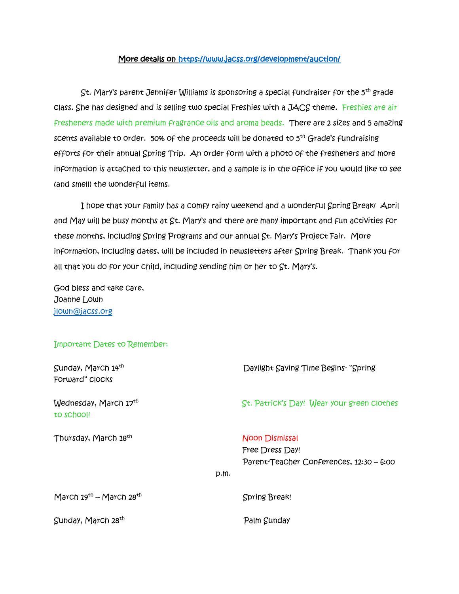### More details on<https://www.jacss.org/development/auction/>

 St. Mary's parent Jennifer Williams is sponsoring a special fundraiser for the 5th grade class. She has designed and is selling two special Freshies with a JACS theme. Freshies are air fresheners made with premium fragrance oils and aroma beads. There are 2 sizes and 5 amazing scents available to order. 50% of the proceeds will be donated to 5<sup>th</sup> Grade's fundraising efforts for their annual Spring Trip. An order form with a photo of the fresheners and more information is attached to this newsletter, and a sample is in the office if you would like to see (and smell) the wonderful items.

 I hope that your family has a comfy rainy weekend and a wonderful Spring Break! April and May will be busy months at St. Mary's and there are many important and fun activities for these months, including Spring Programs and our annual St. Mary's Project Fair. More information, including dates, will be included in newsletters after Spring Break. Thank you for all that you do for your child, including sending him or her to St. Mary's.

God bless and take care, Joanne Lown [jlown@jacss.org](mailto:jlown@jacss.org)

#### Important Dates to Remember:

| Sunday, March 14th<br>Forward" Clocks    | Daylight Saving Time Begins- "Spring                                                        |
|------------------------------------------|---------------------------------------------------------------------------------------------|
| Wednesday, March 17th<br>to school!      | St. Patrick's Day! Wear your green clothes                                                  |
| Thursday, March 18 <sup>th</sup><br>p.m. | <b>Noon Dismissal</b><br><b>Free Dress Day!</b><br>Parent-Teacher Conferences, 12:30 - 6:00 |
| March $19^{th}$ – March $28^{th}$        | <b>Spring Break!</b>                                                                        |
| Sunday, March 28 <sup>th</sup>           | Palm Sunday                                                                                 |